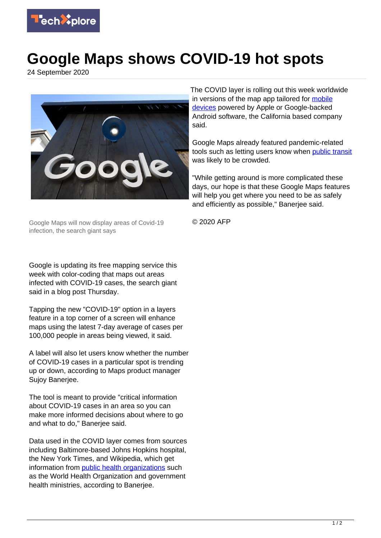

## **Google Maps shows COVID-19 hot spots**

24 September 2020



Google Maps will now display areas of Covid-19 infection, the search giant says

Google is updating its free mapping service this week with color-coding that maps out areas infected with COVID-19 cases, the search giant said in a blog post Thursday.

Tapping the new "COVID-19" option in a layers feature in a top corner of a screen will enhance maps using the latest 7-day average of cases per 100,000 people in areas being viewed, it said.

A label will also let users know whether the number of COVID-19 cases in a particular spot is trending up or down, according to Maps product manager Sujoy Banerjee.

The tool is meant to provide "critical information about COVID-19 cases in an area so you can make more informed decisions about where to go and what to do," Banerjee said.

Data used in the COVID layer comes from sources including Baltimore-based Johns Hopkins hospital, the New York Times, and Wikipedia, which get information from [public health organizations](https://techxplore.com/tags/public+health+organizations/) such as the World Health Organization and government health ministries, according to Banerjee.

The COVID layer is rolling out this week worldwide in versions of the map app tailored for [mobile](https://techxplore.com/tags/mobile+devices/) [devices](https://techxplore.com/tags/mobile+devices/) powered by Apple or Google-backed Android software, the California based company said.

Google Maps already featured pandemic-related tools such as letting users know when [public transit](https://techxplore.com/tags/public+transit/) was likely to be crowded.

"While getting around is more complicated these days, our hope is that these Google Maps features will help you get where you need to be as safely and efficiently as possible," Banerjee said.

© 2020 AFP